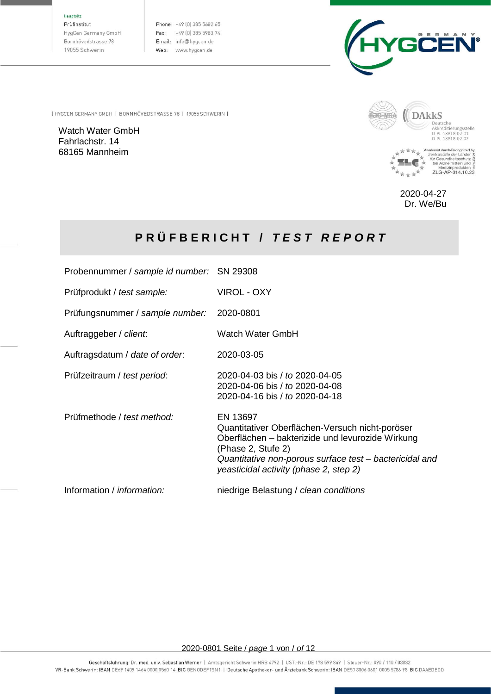#### Hauptsitz

Prüfinstitut HygCen Germany GmbH Bornhövedstrasse 78 19055 Schwerin

Phone: +49 (0) 385 5682 65 Fax: +49 (0) 385 5983 74 Email: info@hygcen.de Web: www.hygcen.de



[ HYGCEN GERMANY GMBH | BORNHÖVEDSTRASSE 78 | 19055 SCHWERIN ]

Watch Water GmbH Fahrlachstr. 14 68165 Mannheim



2020-04-27 Dr. We/Bu

# **P R Ü F B E R I C H T /** *T E S T R E P O R T*

| Probennummer / sample id number: SN 29308 |                                                                                                                                                                                                                                            |
|-------------------------------------------|--------------------------------------------------------------------------------------------------------------------------------------------------------------------------------------------------------------------------------------------|
| Prüfprodukt / test sample:                | VIROL - OXY                                                                                                                                                                                                                                |
| Prüfungsnummer / sample number:           | 2020-0801                                                                                                                                                                                                                                  |
| Auftraggeber / client.                    | Watch Water GmbH                                                                                                                                                                                                                           |
| Auftragsdatum / date of order.            | 2020-03-05                                                                                                                                                                                                                                 |
| Prüfzeitraum / test period:               | 2020-04-03 bis / to 2020-04-05<br>2020-04-06 bis / to 2020-04-08<br>2020-04-16 bis / to 2020-04-18                                                                                                                                         |
| Prüfmethode / test method:                | EN 13697<br>Quantitativer Oberflächen-Versuch nicht-poröser<br>Oberflächen – bakterizide und levurozide Wirkung<br>(Phase 2, Stufe 2)<br>Quantitative non-porous surface test – bactericidal and<br>yeasticidal activity (phase 2, step 2) |
| Information / information:                | niedrige Belastung / clean conditions                                                                                                                                                                                                      |

2020-0801 Seite / *page* 1 von / *of* 12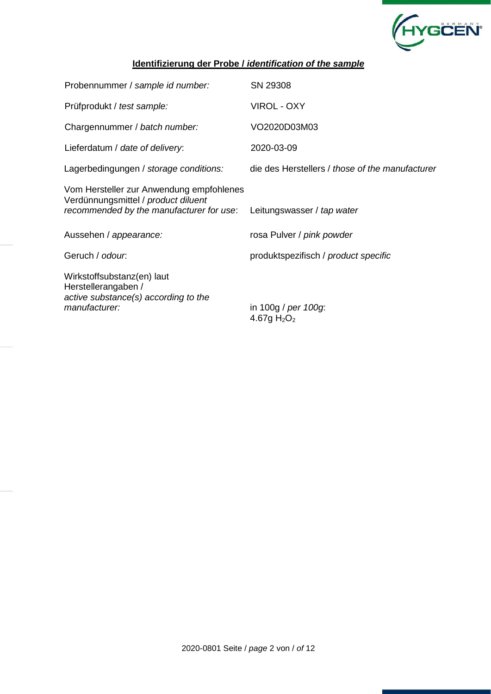

### **Identifizierung der Probe /** *identification of the sample*

| Probennummer / sample id number:                                                                                            | SN 29308                                        |
|-----------------------------------------------------------------------------------------------------------------------------|-------------------------------------------------|
| Prüfprodukt / test sample:                                                                                                  | <b>VIROL - OXY</b>                              |
| Chargennummer / batch number:                                                                                               | VO2020D03M03                                    |
| Lieferdatum / date of delivery:                                                                                             | 2020-03-09                                      |
| Lagerbedingungen / storage conditions:                                                                                      | die des Herstellers / those of the manufacturer |
| Vom Hersteller zur Anwendung empfohlenes<br>Verdünnungsmittel / product diluent<br>recommended by the manufacturer for use: | Leitungswasser / tap water                      |
| Aussehen / appearance:                                                                                                      | rosa Pulver / pink powder                       |
| Geruch / odour.                                                                                                             | produktspezifisch / product specific            |
| Wirkstoffsubstanz(en) laut<br>Herstellerangaben /<br>active substance(s) according to the<br>manufacturer:                  | in 100g / per 100g:<br>4.67g $H_2O_2$           |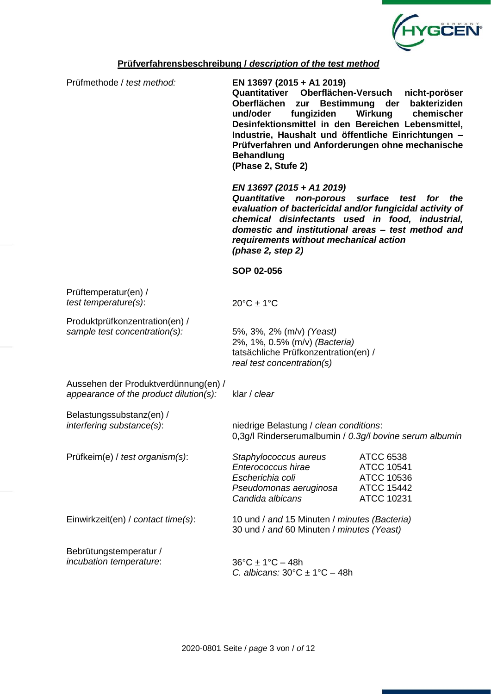

#### **Prüfverfahrensbeschreibung /** *description of the test method*

Prüfmethode / *test method:* **EN 13697 (2015 + A1 2019) Quantitativer Oberflächen-Versuch nicht-poröser Oberflächen zur Bestimmung der bakteriziden**  chemischer **Desinfektionsmittel in den Bereichen Lebensmittel, Industrie, Haushalt und öffentliche Einrichtungen – Prüfverfahren und Anforderungen ohne mechanische Behandlung (Phase 2, Stufe 2)** *EN 13697 (2015 + A1 2019) Quantitative non-porous surface test for the evaluation of bactericidal and/or fungicidal activity of chemical disinfectants used in food, industrial, domestic and institutional areas – test method and requirements without mechanical action (phase 2, step 2)* **SOP 02-056** Prüftemperatur(en) / *test temperature(s):*  $20^{\circ}C \pm 1^{\circ}C$ Produktprüfkonzentration(en) / *sample test concentration(s):* 5%, 3%, 2% (m/v) *(Yeast)* 2%, 1%, 0.5% (m/v) *(Bacteria)* tatsächliche Prüfkonzentration(en) / *real test concentration(s)* Aussehen der Produktverdünnung(en) / *appearance of the product dilution(s):* klar / *clear* Belastungssubstanz(en) / *interfering substance(s)*: niedrige Belastung / *clean conditions*: 0,3g/l Rinderserumalbumin / *0.3g/l bovine serum albumin* Prüfkeim(e) / *test organism(s)*: *Staphylococcus aureus* ATCC 6538 *Enterococcus hirae* ATCC 10541 *Escherichia coli* ATCC 10536 *Pseudomonas aeruginosa* ATCC 15442 *Candida albicans* ATCC 10231 Einwirkzeit(en) / *contact time(s)*: 10 und / *and* 15 Minuten / *minutes (Bacteria)* 30 und / *and* 60 Minuten / *minutes (Yeast)* Bebrütungstemperatur / *incubation temperature*:  $36^{\circ}C \pm 1^{\circ}C - 48h$ *C. albicans:* 30°C ± 1°C – 48h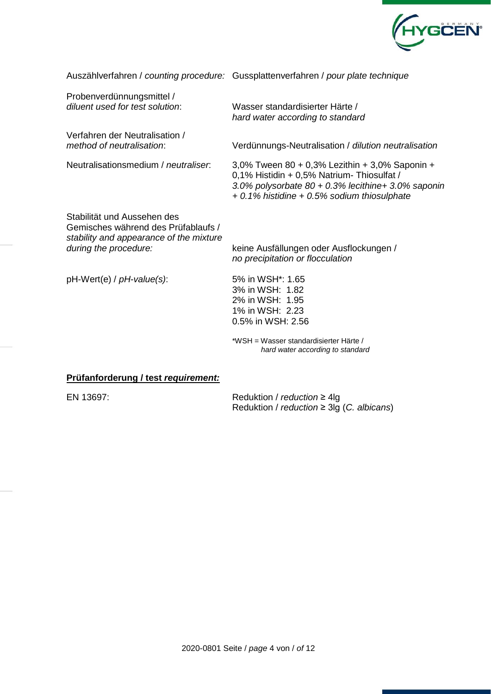

|                                                                                                                                        | Auszählverfahren / counting procedure: Gussplattenverfahren / pour plate technique                                                                                                                 |
|----------------------------------------------------------------------------------------------------------------------------------------|----------------------------------------------------------------------------------------------------------------------------------------------------------------------------------------------------|
| Probenverdünnungsmittel /<br>diluent used for test solution:                                                                           | Wasser standardisierter Härte /<br>hard water according to standard                                                                                                                                |
| Verfahren der Neutralisation /<br>method of neutralisation:                                                                            | Verdünnungs-Neutralisation / dilution neutralisation                                                                                                                                               |
| Neutralisationsmedium / neutraliser.                                                                                                   | 3,0% Tween 80 + 0,3% Lezithin + 3,0% Saponin +<br>0,1% Histidin + 0,5% Natrium- Thiosulfat /<br>3.0% polysorbate 80 + 0.3% lecithine+ 3.0% saponing<br>+ 0.1% histidine + 0.5% sodium thiosulphate |
| Stabilität und Aussehen des<br>Gemisches während des Prüfablaufs /<br>stability and appearance of the mixture<br>during the procedure: | keine Ausfällungen oder Ausflockungen /<br>no precipitation or flocculation                                                                                                                        |
| pH-Wert(e) / pH-value(s):                                                                                                              | 5% in WSH <sup>*</sup> : 1.65<br>3% in WSH: 1.82<br>2% in WSH: 1.95<br>1% in WSH: 2.23<br>0.5% in WSH: 2.56                                                                                        |
|                                                                                                                                        | *WSH = Wasser standardisierter Härte /<br>hard water according to standard                                                                                                                         |

#### **Prüfanforderung / test** *requirement:*

EN 13697: Reduktion / *reduction* ≥ 4lg Reduktion / *reduction* ≥ 3lg (*C. albicans*)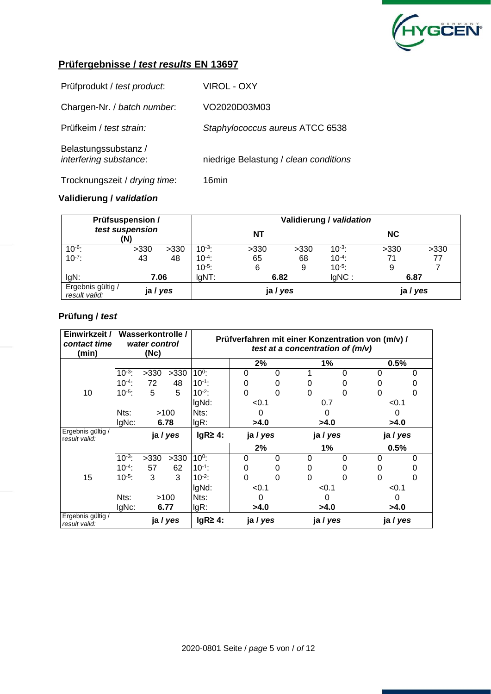

| Prüfprodukt / test product:                    | VIROL - OXY                           |
|------------------------------------------------|---------------------------------------|
| Chargen-Nr. / batch number.                    | VO2020D03M03                          |
| Prüfkeim / test strain:                        | Staphylococcus aureus ATCC 6538       |
| Belastungssubstanz /<br>interfering substance: | niedrige Belastung / clean conditions |
| Trocknungszeit / drying time:                  | 16min                                 |

### **Validierung /** *validation*

|                                    | <b>Prüfsuspension /</b> |          |             | Validierung / validation |      |             |           |      |  |  |  |
|------------------------------------|-------------------------|----------|-------------|--------------------------|------|-------------|-----------|------|--|--|--|
| test suspension<br>(N)             |                         |          |             | <b>NT</b>                |      |             | <b>NC</b> |      |  |  |  |
| $10^{-6}$ :                        | >330                    | >330     | $10^{-3}$ : | >330                     | >330 | $10^{-3}$ : | >330      | >330 |  |  |  |
| $10^{-7}$ :                        | 43                      | 48       | $10^{-4}$ : | 65                       | 68   | $10^{-4}$ : | 71        | 77   |  |  |  |
|                                    |                         |          | $10^{-5}$ : | 6                        | 9    | $10^{-5}$ : | 9         |      |  |  |  |
| IgN:                               |                         | 7.06     | $IgNT$ :    | 6.82                     |      | $IqNC$ :    | 6.87      |      |  |  |  |
| Ergebnis gültig /<br>result valid: |                         | ja / yes | ja / yes    |                          |      |             | ja / yes  |      |  |  |  |

| Einwirkzeit /<br>contact time<br>(min) |             | Wasserkontrolle /<br>water control<br>(Nc) |          |                            |          |          |          | test at a concentration of $(m/v)$ | Prüfverfahren mit einer Konzentration von (m/v) / |      |
|----------------------------------------|-------------|--------------------------------------------|----------|----------------------------|----------|----------|----------|------------------------------------|---------------------------------------------------|------|
|                                        |             |                                            |          |                            | 2%       |          |          | 1%                                 |                                                   | 0.5% |
|                                        | $10^{-3}$ : | >330                                       | >330     | $10^{0}$ :                 | 0        | $\Omega$ |          | 0                                  | 0                                                 | 0    |
|                                        | $10^{-4}$ : | 72                                         | 48       | $10^{-1}$ :                | 0        | 0        | 0        |                                    | 0                                                 |      |
| 10                                     | $10^{-5}$ : | 5                                          | 5        | $10^{-2}$ :                | $\Omega$ | 0        | 0        | 0                                  | 0                                                 | 0    |
|                                        |             |                                            | IgNd:    | < 0.1                      |          |          | 0.7      | < 0.1                              |                                                   |      |
|                                        | Nts:        |                                            | >100     | Nts:<br>0                  |          | 0        |          | 0                                  |                                                   |      |
|                                        | $IqNc$ :    |                                            | 6.78     | $lgR$ :                    | >4.0     |          | >4.0     |                                    | >4.0                                              |      |
| Ergebnis gültig /<br>result valid:     |             |                                            | ja / yes | $lgR \geq 4$ :<br>ja / yes |          |          | ja / yes | ja / yes                           |                                                   |      |
|                                        |             |                                            |          |                            | 2%       |          | 1%       |                                    |                                                   | 0.5% |
|                                        | $10^{-3}$ : | >330                                       | >330     | $10^0$ :                   | 0        | $\Omega$ | 0        | 0                                  | 0                                                 | 0    |
|                                        | $10^{-4}$ : | 57                                         | 62       | $10^{-1}$ :                | 0        | O        | 0        |                                    | 0                                                 |      |
| 15                                     | $10^{-5}$ : | 3                                          | 3        | $10^{-2}$ :                | $\Omega$ | 0        | 0        | ი                                  | 0                                                 | 0    |
|                                        |             |                                            |          | IgNd:                      | < 0.1    |          |          | < 0.1                              | < 0.1                                             |      |
|                                        | Nts:        |                                            | >100     | Nts:                       | 0        |          |          | 0                                  |                                                   | 0    |
|                                        | IgNc:       |                                            | 6.77     | $lgR$ :<br>>4.0            |          |          | >4.0     | >4.0                               |                                                   |      |
| Ergebnis gültig /<br>result valid:     |             |                                            | ja / yes | $lgR24$ :                  | ja / yes |          | ja / yes |                                    | ja / yes                                          |      |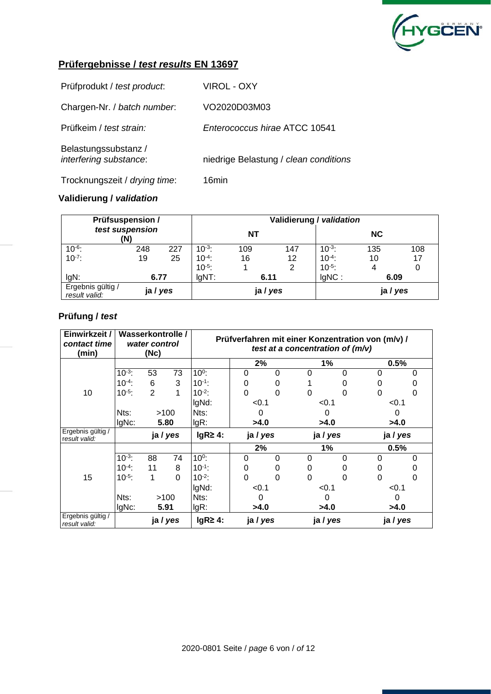

| Prüfprodukt / test product:                    | VIROL - OXY                           |
|------------------------------------------------|---------------------------------------|
| Chargen-Nr. / batch number.                    | VO2020D03M03                          |
| Prüfkeim / test strain:                        | Enterococcus hirae ATCC 10541         |
| Belastungssubstanz /<br>interfering substance: | niedrige Belastung / clean conditions |
| Trocknungszeit / drying time:                  | 16min                                 |

### **Validierung /** *validation*

| <b>Prüfsuspension /</b>            |      | Validierung / validation |             |           |                   |             |           |     |  |
|------------------------------------|------|--------------------------|-------------|-----------|-------------------|-------------|-----------|-----|--|
| test suspension<br>(N)             |      |                          |             | <b>NT</b> |                   |             | <b>NC</b> |     |  |
| $10^{-6}$                          | 248  | 227                      | $10^{-3}$ : | 109       | 147               | $10^{-3}$ : | 135       | 108 |  |
| $10^{-7}$ :                        | 19   | 25                       | $10^{-4}$ : | 16        | $12 \overline{ }$ | $10^{-4}$ : | 10        | 17  |  |
|                                    |      |                          | $10^{-5}$ : |           | 2                 | $10^{-5}$ : | 4         | 0   |  |
| IgN:                               | 6.77 |                          | $IgNT$ :    | 6.11      |                   | IgNC:       | 6.09      |     |  |
| Ergebnis gültig /<br>result valid: |      | ja / yes                 | ja / yes    |           |                   |             | ja / yes  |     |  |

| Einwirkzeit /<br>contact time<br>(min) |             | Wasserkontrolle /<br>water control<br>(Nc) |          |                |          |          |       | test at a concentration of $(m/v)$ | Prüfverfahren mit einer Konzentration von (m/v) / |          |
|----------------------------------------|-------------|--------------------------------------------|----------|----------------|----------|----------|-------|------------------------------------|---------------------------------------------------|----------|
|                                        |             |                                            |          |                | 2%       |          |       | 1%                                 |                                                   | $0.5\%$  |
|                                        | $10^{-3}$ : | 53                                         | 73       | $10^0$ :       | 0        | 0        | 0     | 0                                  | 0                                                 | 0        |
|                                        | $10^{-4}$ : | 6                                          | 3        | $10^{-1}$ :    | 0        | 0        |       |                                    | 0                                                 |          |
| 10                                     | $10^{-5}$ : | $\overline{2}$                             | 1        | $10^{-2}$ :    | $\Omega$ | 0        | 0     | ი                                  | 0                                                 | 0        |
|                                        |             |                                            | IgNd:    | < 0.1          |          | < 0.1    |       | < 0.1                              |                                                   |          |
|                                        | Nts:        |                                            | >100     | Nts:           | 0        |          | 0     |                                    | 0                                                 |          |
|                                        | IgNc:       |                                            | 5.80     | $lgR$ :        | >4.0     |          | >4.0  |                                    | >4.0                                              |          |
| Ergebnis gültig /<br>result valid:     |             |                                            | ja / yes | $lgR \geq 4$ : | ja / yes |          |       | ja / yes                           |                                                   | ja / yes |
|                                        |             |                                            |          |                | 2%       |          |       | 1%                                 |                                                   | 0.5%     |
|                                        | $10^{-3}$ : | 88                                         | 74       | $10^0$ :       | $\Omega$ | $\Omega$ | 0     | 0                                  | 0                                                 | O        |
|                                        | $10^{-4}$ : | 11                                         | 8        | $10^{-1}$ :    | 0        | 0        | 0     |                                    | O                                                 |          |
| 15                                     | $10^{-5}$ : | 1                                          | $\Omega$ | $10^{-2}$ :    | $\Omega$ | 0        | 0     | 0                                  | 0                                                 | 0        |
|                                        |             |                                            |          | IgNd:          | < 0.1    |          | < 0.1 |                                    | < 0.1                                             |          |
|                                        | Nts:        |                                            | >100     | Nts:           | 0        |          |       | O                                  | 0                                                 |          |
|                                        | IgNc:       | 5.91                                       |          | $lgR$ :        | >4.0     |          |       | >4.0                               |                                                   | >4.0     |
| Ergebnis gültig /<br>result valid:     |             |                                            | ja / yes | $lgR \geq 4$ : | ja / yes |          |       | ja / yes                           |                                                   | ja / yes |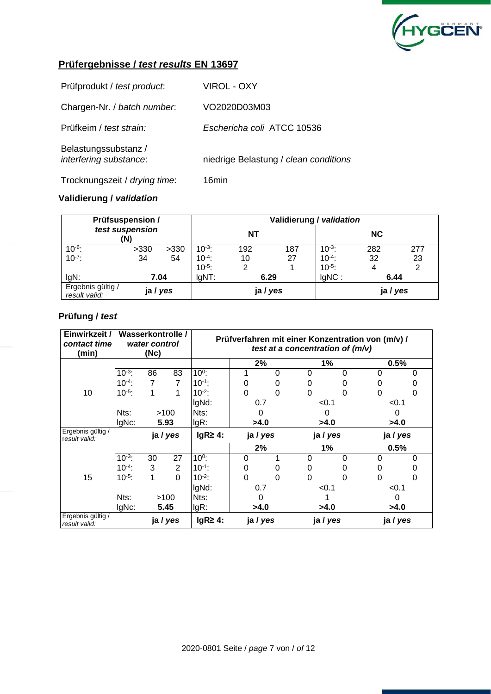

| Prüfprodukt / test product:                    | VIROL - OXY                           |
|------------------------------------------------|---------------------------------------|
| Chargen-Nr. / batch number.                    | VO2020D03M03                          |
| Prüfkeim / test strain:                        | Eschericha coli ATCC 10536            |
| Belastungssubstanz /<br>interfering substance: | niedrige Belastung / clean conditions |
| Trocknungszeit / drying time:                  | 16min                                 |

### **Validierung /** *validation*

| <b>Prüfsuspension /</b>            |      | Validierung / validation |             |           |          |             |           |     |  |
|------------------------------------|------|--------------------------|-------------|-----------|----------|-------------|-----------|-----|--|
| test suspension<br>(N)             |      |                          |             | <b>NT</b> |          |             | <b>NC</b> |     |  |
| $10^{-6}$ :                        | >330 | >330                     | $10^{-3}$ : | 192       | 187      | $10^{-3}$ : | 282       | 277 |  |
| $10^{-7}$ :                        | 34   | 54                       | $10^{-4}$ : | 10        | 27       | $10^{-4}$ : | 32        | 23  |  |
|                                    |      |                          | $10^{-5}$ : | 2         |          | $10^{-5}$ : | 4         | 2   |  |
| IgN:                               |      | 7.04                     | $IgNT$ :    | 6.29      |          | $IqNC$ :    | 6.44      |     |  |
| Ergebnis gültig /<br>result valid: |      | ja / yes                 |             |           | ja / yes |             | ja / yes  |     |  |

| Einwirkzeit /<br>contact time<br>(min) |             | Wasserkontrolle /<br>water control<br>(Nc) |                |                |          |    |       | test at a concentration of $(m/v)$ | Prüfverfahren mit einer Konzentration von (m/v) / |          |  |
|----------------------------------------|-------------|--------------------------------------------|----------------|----------------|----------|----|-------|------------------------------------|---------------------------------------------------|----------|--|
|                                        |             |                                            |                |                |          | 2% |       | 1%                                 |                                                   | $0.5\%$  |  |
|                                        | $10^{-3}$ : | 86                                         | 83             | $10^0$ :       |          | 0  | 0     | 0                                  | 0                                                 | 0        |  |
|                                        | $10^{-4}$ : | 7                                          | $\overline{7}$ | $10^{-1}$ :    | 0        | 0  | 0     |                                    | 0                                                 |          |  |
| 10                                     | $10^{-5}$ : | 1                                          | 1              | $10^{-2}$ :    | 0        | 0  | 0     | O                                  | 0                                                 | 0        |  |
|                                        |             |                                            | IgNd:          | 0.7            |          |    | < 0.1 | < 0.1                              |                                                   |          |  |
|                                        | Nts:        |                                            | >100           | Nts:           | 0        |    | 0     |                                    | 0                                                 |          |  |
|                                        | IgNc:       |                                            | 5.93           | $lgR$ :        | >4.0     |    |       | >4.0                               |                                                   | >4.0     |  |
| Ergebnis gültig /<br>result valid:     |             |                                            | ja / yes       | $lgR \geq 4$ : | ja / yes |    |       | ja / yes                           |                                                   | ja / yes |  |
|                                        |             |                                            |                |                | 2%       |    |       | 1%                                 |                                                   | 0.5%     |  |
|                                        | $10^{-3}$ : | 30                                         | 27             | $10^0$ :       | $\Omega$ |    | 0     | 0                                  | 0                                                 | O        |  |
|                                        | $10^{-4}$ : | 3                                          | $\overline{2}$ | $10^{-1}$ :    | 0        | 0  | 0     |                                    | O                                                 |          |  |
| 15                                     | $10^{-5}$ : | 1                                          | $\Omega$       | $10^{-2}$ :    | $\Omega$ | 0  | 0     | O                                  | 0                                                 | 0        |  |
|                                        |             |                                            |                | IgNd:          | 0.7      |    | < 0.1 |                                    | < 0.1                                             |          |  |
|                                        | Nts:        |                                            | >100           | Nts:           | 0        |    |       |                                    | 0                                                 |          |  |
|                                        | IgNc:       |                                            | 5.45           | $lgR$ :        | >4.0     |    |       | >4.0                               |                                                   | >4.0     |  |
| Ergebnis gültig /<br>result valid:     |             |                                            | ja / yes       | $lgR \geq 4$ : | ja / yes |    |       | ja / yes                           |                                                   | ja / yes |  |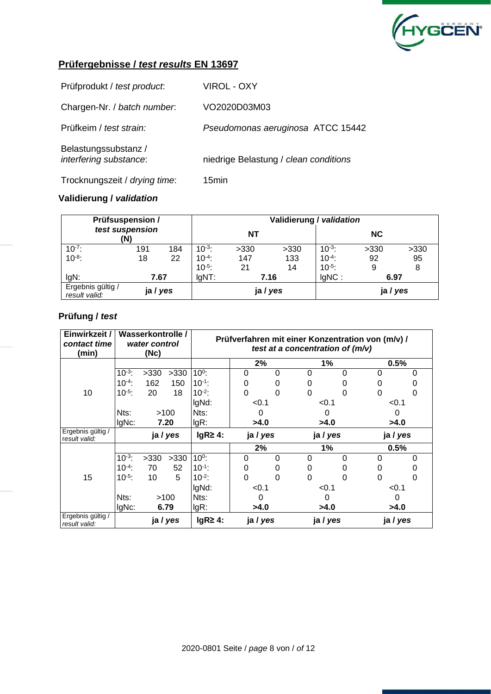

| Prüfprodukt / test product:                    | <b>VIROL - OXY</b>                    |
|------------------------------------------------|---------------------------------------|
| Chargen-Nr. / batch number.                    | VO2020D03M03                          |
| Prüfkeim / test strain:                        | Pseudomonas aeruginosa ATCC 15442     |
| Belastungssubstanz /<br>interfering substance: | niedrige Belastung / clean conditions |
| Trocknungszeit / drying time:                  | 15 <sub>min</sub>                     |

### **Validierung /** *validation*

| <b>Prüfsuspension /</b>            | Validierung / validation |     |                  |           |          |             |           |      |
|------------------------------------|--------------------------|-----|------------------|-----------|----------|-------------|-----------|------|
| test suspension<br>(N)             |                          |     |                  | <b>NT</b> |          |             | <b>NC</b> |      |
| $10^{-7}$ :                        | 191                      | 184 | $10^{-3}$ :      | >330      | >330     | $10^{-3}$ : | >330      | >330 |
| $10^{-8}$ :                        | 18                       | 22  | $10^{-4}$ :      | 147       | 133      | $10^{-4}$ : | 92        | 95   |
|                                    |                          |     | $10^{-5}$ :      | 21        | 14       | $10^{-5}$ : | 9         | 8    |
| IgN:                               | 7.67                     |     | $IqNT$ :<br>7.16 |           | $IqNC$ : | 6.97        |           |      |
| Ergebnis gültig /<br>result valid: | ja / yes                 |     |                  |           | ja / yes |             | ja / yes  |      |

| Einwirkzeit /<br>contact time<br>(min) | Wasserkontrolle /<br>water control<br>(Nc) |          |                | Prüfverfahren mit einer Konzentration von (m/v) /<br>test at a concentration of $(m/v)$ |          |          |          |          |          |   |
|----------------------------------------|--------------------------------------------|----------|----------------|-----------------------------------------------------------------------------------------|----------|----------|----------|----------|----------|---|
|                                        |                                            |          |                | 2%                                                                                      |          | 1%       |          | $0.5\%$  |          |   |
|                                        | $10^{-3}$ :                                | >330     | >330           | $10^0$ :                                                                                | 0        | 0        | 0        | 0        | 0        | 0 |
|                                        | $10^{-4}$ :                                | 162      | 150            | $10^{-1}$ :                                                                             | 0        | 0        | 0        |          | 0        |   |
| 10                                     | $10^{-5}$ :                                | 20       | 18             | $10^{-2}$ :                                                                             | 0        | 0        | 0        | O        | 0        | 0 |
|                                        |                                            |          |                | IgNd:                                                                                   | < 0.1    |          | < 0.1    |          | < 0.1    |   |
|                                        | Nts:                                       | >100     |                | Nts:                                                                                    | 0        |          | O        |          | 0        |   |
|                                        | IgNc:                                      | 7.20     |                | $lgR$ :                                                                                 | >4.0     |          | >4.0     |          | >4.0     |   |
| Ergebnis gültig /<br>result valid:     |                                            | ja / yes |                | $lgR \geq 4$ :                                                                          | ja / yes |          | ja / yes |          | ja / yes |   |
|                                        |                                            |          |                | 2%                                                                                      |          |          | 1%       |          | 0.5%     |   |
|                                        | $10^{-3}$ :                                | >330     | >330           | $10^0$ :                                                                                | $\Omega$ | $\Omega$ | 0        | 0        | 0        | 0 |
|                                        | $10^{-4}$ :                                | 70       | 52             | $10^{-1}$ :                                                                             | 0        | O        | 0        |          | O        |   |
| 15                                     | $10^{-5}$ :                                | 10       | 5              | $10^{-2}$ :                                                                             | $\Omega$ | 0        | 0        | 0        | 0        | 0 |
|                                        |                                            |          |                | IgNd:                                                                                   | < 0.1    |          | < 0.1    |          | < 0.1    |   |
|                                        | Nts:                                       | >100     |                | Nts:                                                                                    | 0        |          | O        |          | 0        |   |
|                                        | IgNc:                                      |          | 6.79           | $lgR$ :<br>>4.0                                                                         |          | >4.0     |          | >4.0     |          |   |
| Ergebnis gültig /<br>result valid:     | ja / yes                                   |          | $lgR \geq 4$ : | ja / yes                                                                                |          | ja / yes |          | ja / yes |          |   |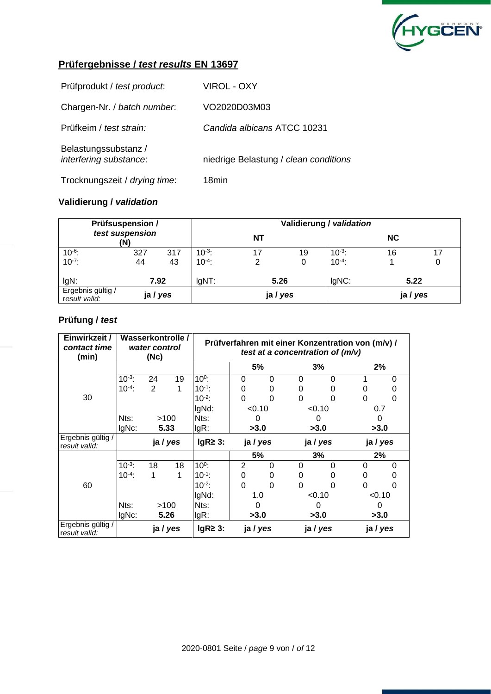

| Prüfprodukt / test product:                    | <b>VIROL - OXY</b>                    |
|------------------------------------------------|---------------------------------------|
| Chargen-Nr. / batch number.                    | VO2020D03M03                          |
| Prüfkeim / test strain:                        | Candida albicans ATCC 10231           |
| Belastungssubstanz /<br>interfering substance: | niedrige Belastung / clean conditions |
| Trocknungszeit / drying time:                  | 18min                                 |

#### **Validierung /** *validation*

|                                    | <b>Prüfsuspension /</b> |          |             | Validierung / validation |    |             |           |      |  |  |  |
|------------------------------------|-------------------------|----------|-------------|--------------------------|----|-------------|-----------|------|--|--|--|
| test suspension<br>'N)             |                         |          |             | <b>NT</b>                |    |             | <b>NC</b> |      |  |  |  |
| $10^{-6}$ :                        | 327                     | 317      | $10^{-3}$ : |                          | 19 | $10^{-3}$   | 16        | 17   |  |  |  |
| $10^{-7}$ :                        | 44                      | 43       | $10^{-4}$ : |                          | 0  | $10^{-4}$ : |           |      |  |  |  |
| IgN:                               |                         | 7.92     |             | 5.26                     |    | lgNC:       |           | 5.22 |  |  |  |
| Ergebnis gültig /<br>result valid: |                         | ja / yes |             | ja / yes                 |    |             | ja / yes  |      |  |  |  |

| Einwirkzeit /<br>contact time<br>(min) | Wasserkontrolle /<br>water control<br>(Nc) |          | Prüfverfahren mit einer Konzentration von (m/v) /<br>test at a concentration of $(m/v)$ |                |             |          |          |          |          |          |
|----------------------------------------|--------------------------------------------|----------|-----------------------------------------------------------------------------------------|----------------|-------------|----------|----------|----------|----------|----------|
|                                        |                                            |          |                                                                                         |                |             | 5%       |          | 3%       | 2%       |          |
|                                        | $10^{-3}$ :                                | 24       | 19                                                                                      | $10^0$ :       | 0           | $\Omega$ | 0        | $\Omega$ |          | 0        |
|                                        | $10^{-4}$ :                                | 2        | 1                                                                                       | $10^{-1}$ :    | 0           | 0        | 0        | O        | O        | 0        |
| 30                                     |                                            |          |                                                                                         | $10^{-2}$ :    | 0           | 0        | 0        | 0        | 0        | 0        |
|                                        |                                            |          |                                                                                         | IgNd:          | < 0.10      |          | < 0.10   |          | 0.7      |          |
|                                        | Nts:                                       | >100     |                                                                                         | Nts:           | 0           |          | U        |          | 0        |          |
|                                        | IgNc:                                      | 5.33     |                                                                                         | $lgR$ :        | >3.0        |          | >3.0     |          | >3.0     |          |
| Ergebnis gültig /<br>result valid:     |                                            | ja / yes |                                                                                         | $lgR \geq 3$ : | ja / yes    |          | ja / yes |          | ja / yes |          |
|                                        |                                            |          |                                                                                         |                |             | 5%       |          | 3%       | 2%       |          |
|                                        | $10^{-3}$ :                                | 18       | 18                                                                                      | $10^0$ :       | 2           | $\Omega$ | 0        | $\Omega$ | 0        | $\Omega$ |
|                                        | $10^{-4}$ :                                | 1        | 1                                                                                       | $10^{-1}$ :    | 0           | 0        | 0        | $\Omega$ | 0        | O)       |
| 60                                     |                                            |          |                                                                                         | $10^{-2}$ :    | $\mathbf 0$ | $\Omega$ | 0        | 0        | 0        | 0        |
|                                        |                                            |          |                                                                                         | IgNd:          | 1.0         |          | < 0.10   |          | < 0.10   |          |
|                                        | Nts:                                       | >100     |                                                                                         | Nts:           |             |          |          |          |          |          |
|                                        | $IqNc$ :                                   | 5.26     |                                                                                         | lgR:           |             | >3.0     |          | >3.0     | >3.0     |          |
| Ergebnis gültig /<br>result valid:     |                                            | ja / yes |                                                                                         | $lgR \geq 3$ : |             | ja / yes |          | ja / yes |          | ja / yes |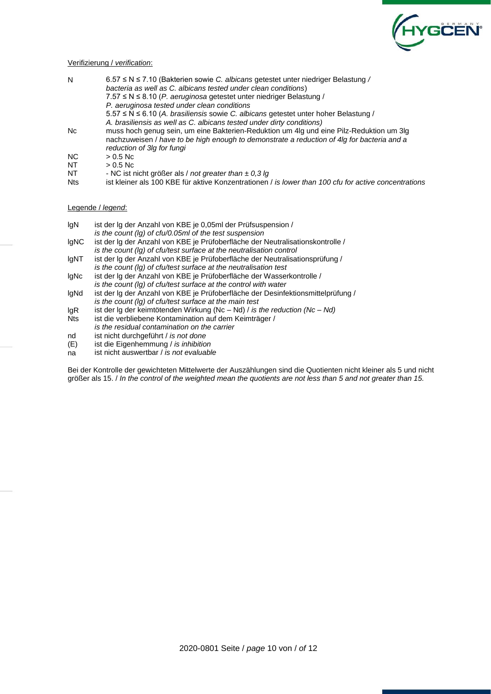

#### Verifizierung / *verification*:

| N          | 6.57 ≤ N ≤ 7.10 (Bakterien sowie <i>C. albicans</i> getestet unter niedriger Belastung /                                                                                                                            |
|------------|---------------------------------------------------------------------------------------------------------------------------------------------------------------------------------------------------------------------|
|            | bacteria as well as C. albicans tested under clean conditions)                                                                                                                                                      |
|            | $7.57 \le N \le 8.10$ (P. aeruginosa getestet unter niedriger Belastung)                                                                                                                                            |
|            | P. aeruginosa tested under clean conditions                                                                                                                                                                         |
|            | 5.57 ≤ N ≤ 6.10 (A. brasiliensis sowie C. albicans getestet unter hoher Belastung /                                                                                                                                 |
|            | A. brasiliensis as well as C. albicans tested under dirty conditions)                                                                                                                                               |
| Nc         | muss hoch genug sein, um eine Bakterien-Reduktion um 4lg und eine Pilz-Reduktion um 3lg<br>nachzuweisen / have to be high enough to demonstrate a reduction of 4lg for bacteria and a<br>reduction of 3lg for fungi |
| NC.        | $> 0.5$ Nc                                                                                                                                                                                                          |
| <b>NT</b>  | $> 0.5$ Nc                                                                                                                                                                                                          |
| NT         | - NC ist nicht größer als / not greater than $\pm$ 0,3 lg                                                                                                                                                           |
| <b>Nts</b> | ist kleiner als 100 KBE für aktive Konzentrationen / is lower than 100 cfu for active concentrations                                                                                                                |

#### Legende / *legend*:

- lgN ist der lg der Anzahl von KBE je 0,05ml der Prüfsuspension /
- *is the count (lg) of cfu/0.05ml of the test suspension*
- lgNC ist der lg der Anzahl von KBE je Prüfoberfläche der Neutralisationskontrolle / *is the count (lg) of cfu/test surface at the neutralisation control*
- lgNT ist der lg der Anzahl von KBE je Prüfoberfläche der Neutralisationsprüfung /
- *is the count (lg) of cfu/test surface at the neutralisation test* lgNc ist der lg der Anzahl von KBE je Prüfoberfläche der Wasserkontrolle /
- *is the count (lg) of cfu/test surface at the control with water* lgNd ist der lg der Anzahl von KBE je Prüfoberfläche der Desinfektionsmittelprüfung / *is the count (lg) of cfu/test surface at the main test*
- 
- lgR ist der lg der keimtötenden Wirkung (Nc Nd) / *is the reduction (Nc – Nd)* ist die verbliebene Kontamination auf dem Keimträger / *is the residual contamination on the carrier*
- nd ist nicht durchgeführt / *is not done*
- (E) ist die Eigenhemmung / *is inhibition*
- na ist nicht auswertbar / *is not evaluable*

Bei der Kontrolle der gewichteten Mittelwerte der Auszählungen sind die Quotienten nicht kleiner als 5 und nicht größer als 15. / *In the control of the weighted mean the quotients are not less than 5 and not greater than 15.*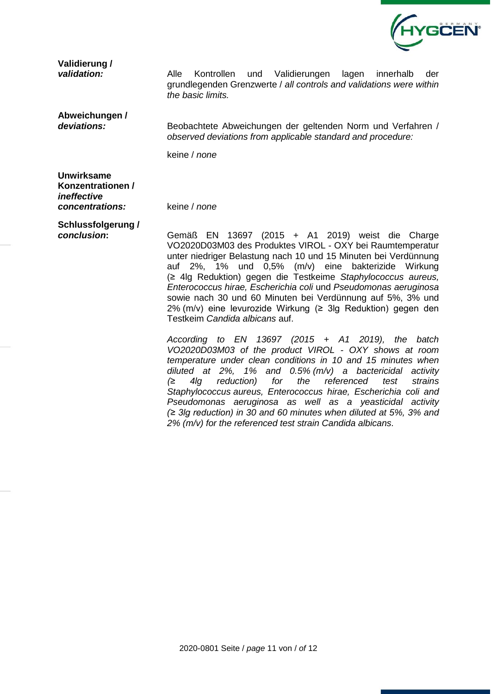

**Validierung /** 

*validation:* Alle Kontrollen und Validierungen lagen innerhalb der grundlegenden Grenzwerte / *all controls and validations were within the basic limits.*

**Abweichungen /** 

*deviations:* Beobachtete Abweichungen der geltenden Norm und Verfahren / *observed deviations from applicable standard and procedure:*

keine / *none*

**Unwirksame Konzentrationen /**  *ineffective concentrations:* keine / *none*

**Schlussfolgerung /** 

*conclusion***:** Gemäß EN 13697 (2015 + A1 2019) weist die Charge VO2020D03M03 des Produktes VIROL - OXY bei Raumtemperatur unter niedriger Belastung nach 10 und 15 Minuten bei Verdünnung auf 2%, 1% und 0,5% (m/v) eine bakterizide Wirkung (≥ 4lg Reduktion) gegen die Testkeime *Staphylococcus aureus, Enterococcus hirae, Escherichia coli* und *Pseudomonas aeruginosa* sowie nach 30 und 60 Minuten bei Verdünnung auf 5%, 3% und 2% (m/v) eine levurozide Wirkung (≥ 3lg Reduktion) gegen den Testkeim *Candida albicans* auf.

> *According to EN 13697 (2015 + A1 2019), the batch VO2020D03M03 of the product VIROL - OXY shows at room temperature under clean conditions in 10 and 15 minutes when diluted at 2%, 1% and 0.5% (m/v) a bactericidal activity (≥ 4lg reduction) for the referenced test strains Staphylococcus aureus, Enterococcus hirae, Escherichia coli and Pseudomonas aeruginosa as well as a yeasticidal activity (≥ 3lg reduction) in 30 and 60 minutes when diluted at 5%, 3% and 2% (m/v) for the referenced test strain Candida albicans.*